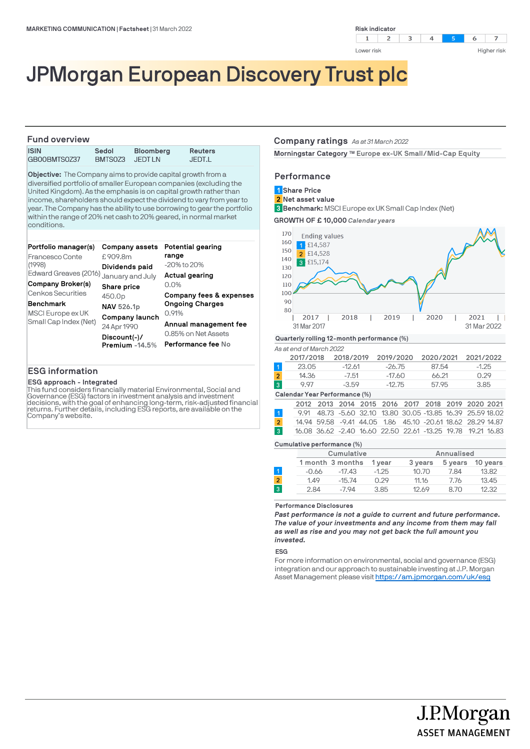

# JPMorgan European Discovery Trust plc

## **Fund overview**

**ISIN Sedol Bloomberg Reuters** GB00BMTS0Z37

**Objective:** The Company aims to provide capital growth from a diversified portfolio of smaller European companies (excluding the United Kingdom). As the emphasis is on capital growth rather than income, shareholders should expect the dividend to vary from year to year. The Company has the ability to use borrowing to gear the portfolio within the range of 20% net cash to 20% geared, in normal market conditions.

| Portfolio manager(s)                   | Company assets                   | Potential gearing                         |  |  |
|----------------------------------------|----------------------------------|-------------------------------------------|--|--|
| Francesco Conte                        | £909.8m                          | range                                     |  |  |
| (1998)                                 | Dividends paid                   | $-20\%$ to $20\%$                         |  |  |
| Edward Greaves (2016)                  | January and July                 | Actual gearing                            |  |  |
| Company Broker(s)<br>Cenkos Securities | Share price                      | 0.0%<br>Company fees & expenses           |  |  |
| <b>Benchmark</b>                       | 450.0p                           | <b>Ongoing Charges</b>                    |  |  |
| MSCI Europe ex UK                      | <b>NAV 526.1p</b>                | 0.91%                                     |  |  |
| Small Cap Index (Net)                  | Company launch<br>24 Apr 1990    | Annual management fee                     |  |  |
|                                        | $Discount(-)/$<br>Premium -14.5% | 0.85% on Net Assets<br>Performance fee No |  |  |

## **ESG information**

#### **ESG approach - Integrated**

This fund considers financially material Environmental, Social and Governance (ESG) factors in investment analysis and investment decisions, with the goal of enhancing long-term, risk-adjusted financial<br>returns. Further details, including ESG reports, are available on the Company's website.

#### **Company ratings** *As at 31 March 2022*

Morningstar Category ™ Europe ex-UK Small/Mid-Cap Equity

## **Performance**

**Share Price 1**

**Net asset value 2**

**Benchmark:** MSCI Europe ex UK Small Cap Index (Net) **3**

**GROWTH OF £ 10,000** *Calendar years*



#### *As at end of March 2022*

|   | 2017/2018 | 2018/2019 | 2019/2020 | 2020/2021 | 2021/2022 |
|---|-----------|-----------|-----------|-----------|-----------|
|   | 23.05     | $-12.61$  | $-26.75$  | 87.54     | $-1.25$   |
| 2 | 14.36     | $-7.51$   | -17.60    | 66.21     | 0.29      |
| 3 | 997       | $-3.59$   | $-12.75$  | 57.95     | 3.85      |
|   |           |           |           |           |           |

#### **Calendar Year Performance (%)**

|                |  |  |  | 2012 2013 2014 2015 2016 2017 2018 2019 2020 2021            |  |  |
|----------------|--|--|--|--------------------------------------------------------------|--|--|
|                |  |  |  | 9.91 48.73 -5.60 32.10 13.80 30.05 -13.85 16.39 25.59 18.02  |  |  |
| $\overline{2}$ |  |  |  | 14,94 59,58 -9,41 44,05 1,86 45,10 -20,61 18,62 28,29 14,87  |  |  |
|                |  |  |  | 16.08 36.62 -2.40 16.60 22.50 22.61 -13.25 19.78 19.21 16.83 |  |  |
|                |  |  |  |                                                              |  |  |

#### **Cumulative performance (%)**

|                |       | Cumulative       |         |         | Annualised |          |
|----------------|-------|------------------|---------|---------|------------|----------|
|                |       | 1 month 3 months | 1 vear  | 3 years | 5 years    | 10 years |
|                | -0.66 | $-17.43$         | $-1.25$ | 10.70   | 7.84       | 13.82    |
| $\overline{2}$ | 1.49  | $-15.74$         | 0.29    | 11.16   | 7.76       | 13.45    |
| 3              | 2.84  | $-7.94$          | 3.85    | 12.69   | 8.70       | 12.32    |
|                |       |                  |         |         |            |          |

#### **Performance Disclosures**

*Past performance is not a guide to current and future performance. The value of your investments and any income from them may fall as well as rise and you may not get back the full amount you invested.* 

#### **ESG**

For more information on environmental, social and governance (ESG) integration and our approach to sustainable investing at J.P. Morgan Asset Management please visit https://am.jpmorgan.com/uk/esg

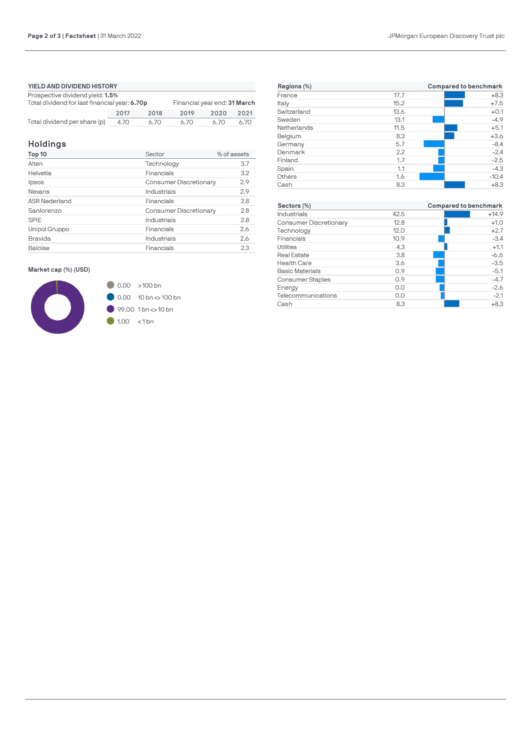| YIELD AND DIVIDEND HISTORY                                                                                        |              |      |      |      |      |  |
|-------------------------------------------------------------------------------------------------------------------|--------------|------|------|------|------|--|
| Prospective dividend yield: 1.5%<br>Total dividend for last financial year: 6.70p<br>Financial year end: 31 March |              |      |      |      |      |  |
|                                                                                                                   | 2017<br>2018 |      |      | 2020 | 2021 |  |
| Total dividend per share (p)                                                                                      | 4.70         | 6.70 | 6.70 | 6.70 | 6.70 |  |

## **Holdings**

| Top 10               | Sector                        | % of assets |
|----------------------|-------------------------------|-------------|
| Alten                | Technology                    | 3.7         |
| Helvetia             | Financials                    | 3.2         |
| Ipsos                | <b>Consumer Discretionary</b> | 2.9         |
| Nexans               | Industrials                   | 2.9         |
| <b>ASR Nederland</b> | Financials                    | 2.8         |
| Sanlorenzo           | <b>Consumer Discretionary</b> | 2.8         |
| SPIE                 | Industrials                   | 2.8         |
| Unipol Gruppo        | Financials                    | 2.6         |
| Bravida              | Industrials                   | 2.6         |
| <b>Baloise</b>       | Financials                    | 2.3         |

## **Market cap (%) (USD)**



| Regions (%)             |      | <b>Compared to benchmark</b> |
|-------------------------|------|------------------------------|
| France                  | 17.7 | $+8.3$                       |
| Italy                   | 15.2 | $+7.5$                       |
| Switzerland             | 13.6 | $+0.1$                       |
| Sweden                  | 13.1 | $-4.9$                       |
| Netherlands             | 11.5 | $+5.1$                       |
| Belgium                 | 8.3  | $+3.6$                       |
| Germany                 | 5.7  | $-8.4$                       |
| Denmark                 | 2.2  | $-2.4$                       |
| Finland                 | 1.7  | $-2.5$                       |
| Spain                   | 1.1  | $-4.3$                       |
| Others                  | 1.6  | $-10.4$                      |
| Cash                    | 8.3  | $+8.3$                       |
| Sectors (%)             |      | Compared to benchmark        |
| Industrials             | 42.5 | $+14.9$                      |
| Consumer Discretionary  | 12.8 | $+1.0$                       |
| Technology              | 12.0 | $+2.7$                       |
| Financials              | 10.9 | $-3.4$                       |
| Utilities               | 4.3  | $+1.1$                       |
| <b>Real Estate</b>      | 3.8  | $-6.6$                       |
| <b>Health Care</b>      | 3.6  | $-3.5$                       |
| <b>Basic Materials</b>  | 0.9  | $-5.1$                       |
| <b>Consumer Staples</b> | 0.9  | $-4.7$                       |
| Energy                  | 0.0  | $-2.6$                       |
| Telecommunications      | 0.0  | $-2.1$                       |
| Cash                    | 8.3  | $+8.3$                       |